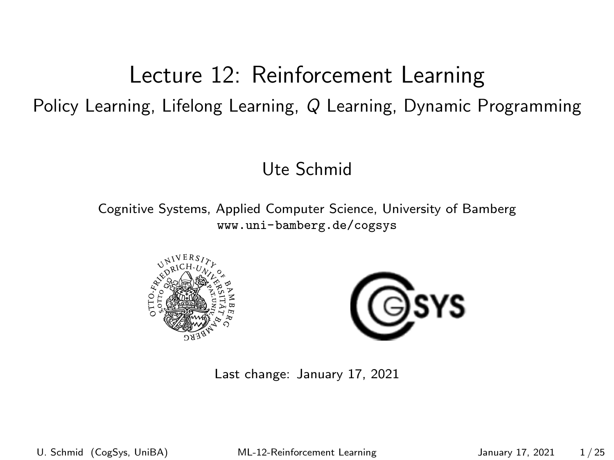## <span id="page-0-0"></span>Lecture 12: Reinforcement Learning Policy Learning, Lifelong Learning, Q Learning, Dynamic Programming

#### Ute Schmid

Cognitive Systems, Applied Computer Science, University of Bamberg <www.uni-bamberg.de/cogsys>





Last change: January 17, 2021

U. Schmid (CogSys, UniBA) ML-12-Reinforcement Learning January 17, 2021 1/25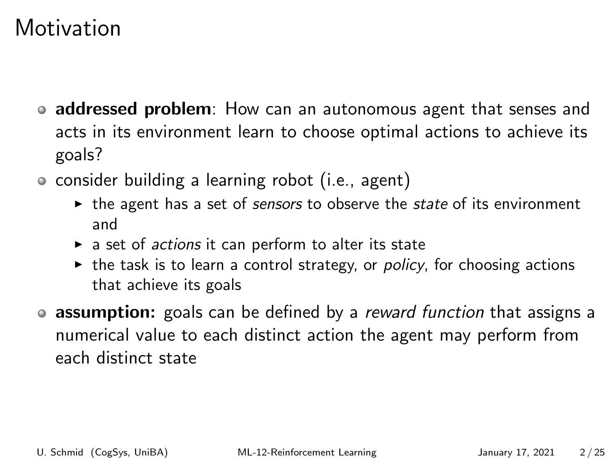## **Motivation**

- addressed problem: How can an autonomous agent that senses and acts in its environment learn to choose optimal actions to achieve its goals?
- consider building a learning robot (i.e., agent)
	- $\triangleright$  the agent has a set of sensors to observe the state of its environment and
	- a set of *actions* it can perform to alter its state
	- $\triangleright$  the task is to learn a control strategy, or *policy*, for choosing actions that achieve its goals
- assumption: goals can be defined by a *reward function* that assigns a numerical value to each distinct action the agent may perform from each distinct state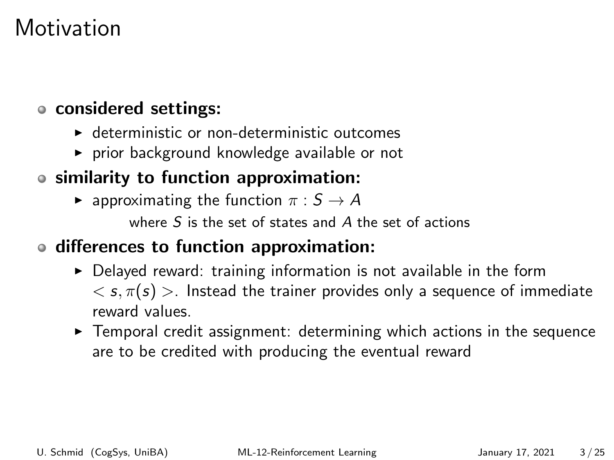## **Motivation**

#### considered settings:

- $\blacktriangleright$  deterministic or non-deterministic outcomes
- $\triangleright$  prior background knowledge available or not

### similarity to function approximation:

**•** approximating the function  $\pi : S \to A$ 

where S is the set of states and A the set of actions

### differences to function approximation:

- $\triangleright$  Delayed reward: training information is not available in the form  $<$  s,  $\pi(s)$  >. Instead the trainer provides only a sequence of immediate reward values.
- $\triangleright$  Temporal credit assignment: determining which actions in the sequence are to be credited with producing the eventual reward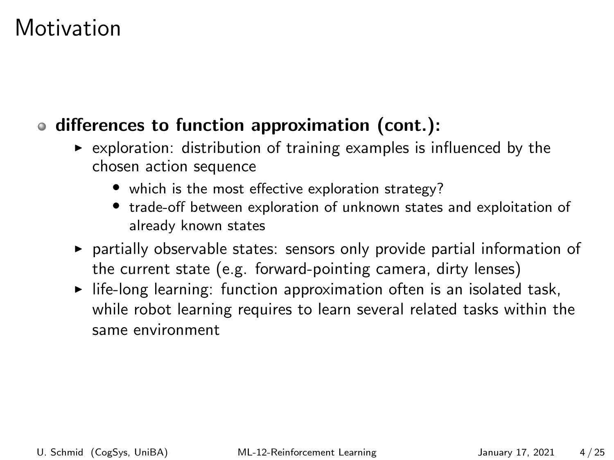## **Motivation**

### differences to function approximation (cont.):

- $\triangleright$  exploration: distribution of training examples is influenced by the chosen action sequence
	- which is the most effective exploration strategy?
	- trade-off between exploration of unknown states and exploitation of already known states
- $\triangleright$  partially observable states: sensors only provide partial information of the current state (e.g. forward-pointing camera, dirty lenses)
- $\blacktriangleright$  life-long learning: function approximation often is an isolated task, while robot learning requires to learn several related tasks within the same environment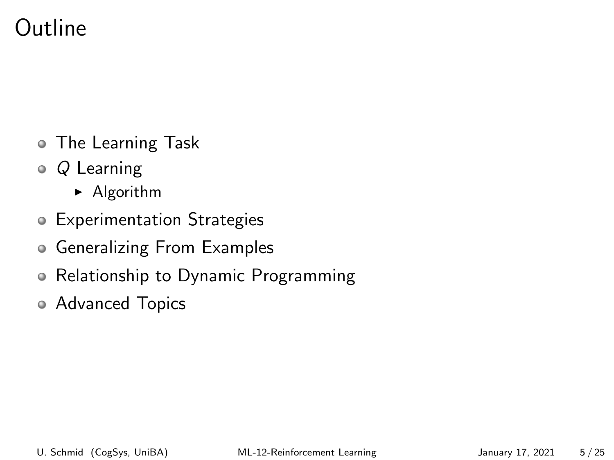## Outline

- The Learning Task
- Q Learning
	- $\blacktriangleright$  Algorithm
- Experimentation Strategies
- Generalizing From Examples
- Relationship to Dynamic Programming
- Advanced Topics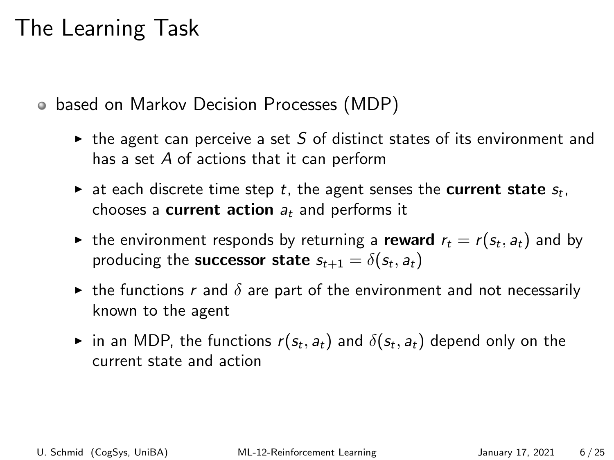## The Learning Task

based on Markov Decision Processes (MDP)

- $\triangleright$  the agent can perceive a set S of distinct states of its environment and has a set A of actions that it can perform
- $\blacktriangleright$  at each discrete time step  $t$ , the agent senses the current state  $s_t$ , chooses a **current action**  $a_t$  and performs it
- $\blacktriangleright$  the environment responds by returning a  $\mathsf{reward}\; r_t = r(s_t, a_t)$  and by producing the **successor state**  $s_{t+1} = \delta(s_t, a_t)$
- In the functions r and  $\delta$  are part of the environment and not necessarily known to the agent
- $\blacktriangleright$  in an MDP, the functions  $r(s_t,a_t)$  and  $\delta(s_t,a_t)$  depend only on the current state and action

U. Schmid (CogSys, UniBA) [ML-12-Reinforcement Learning](#page-0-0) January 17, 2021 6/25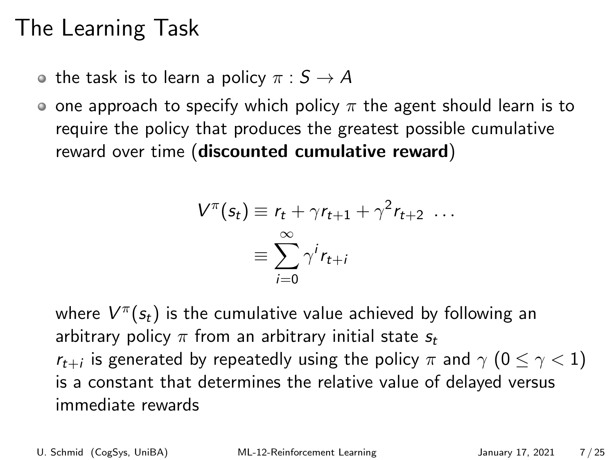## The Learning Task

- the task is to learn a policy  $\pi : S \to A$
- o one approach to specify which policy  $\pi$  the agent should learn is to require the policy that produces the greatest possible cumulative reward over time (discounted cumulative reward)

$$
V^{\pi}(s_t) \equiv r_t + \gamma r_{t+1} + \gamma^2 r_{t+2} \dots
$$

$$
\equiv \sum_{i=0}^{\infty} \gamma^i r_{t+i}
$$

where  $V^{\pi}(s_t)$  is the cumulative value achieved by following an arbitrary policy  $\pi$  from an arbitrary initial state  $s_t$  $r_{t+i}$  is generated by repeatedly using the policy  $\pi$  and  $\gamma$   $(0 \leq \gamma < 1)$ is a constant that determines the relative value of delayed versus immediate rewards

U. Schmid (CogSys, UniBA) [ML-12-Reinforcement Learning](#page-0-0) January 17, 2021 7/25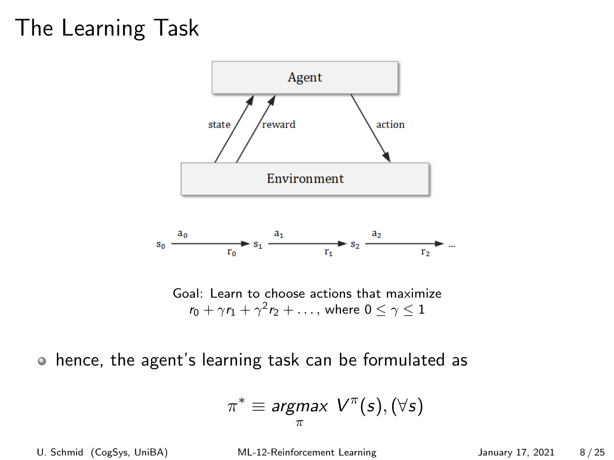## The Learning Task



 $r_0 + \gamma r_1 + \gamma^2 r_2 + \ldots$ , where  $0 \leq \gamma \leq 1$ 

hence, the agent's learning task can be formulated as

$$
\pi^*\equiv \underset{\pi}{\text{argmax}} \ \ V^{\pi}(s), (\forall s)
$$

U. Schmid (CogSys, UniBA) [ML-12-Reinforcement Learning](#page-0-0) January 17, 2021 8/25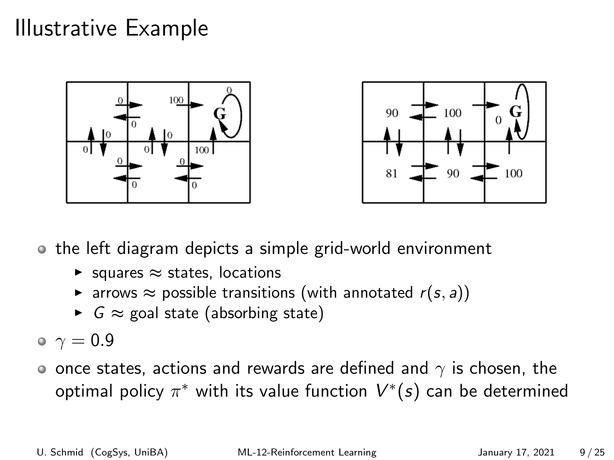## Illustrative Example





the left diagram depicts a simple grid-world environment

- $\triangleright$  squares  $\approx$  states, locations
- **►** arrows  $\approx$  possible transitions (with annotated  $r(s, a)$ )
- $\triangleright$   $G \approx$  goal state (absorbing state)

 $\sim \gamma = 0.9$ 

o once states, actions and rewards are defined and  $\gamma$  is chosen, the optimal policy  $\pi^*$  with its value function  $\bar{V}^*(s)$  can be determined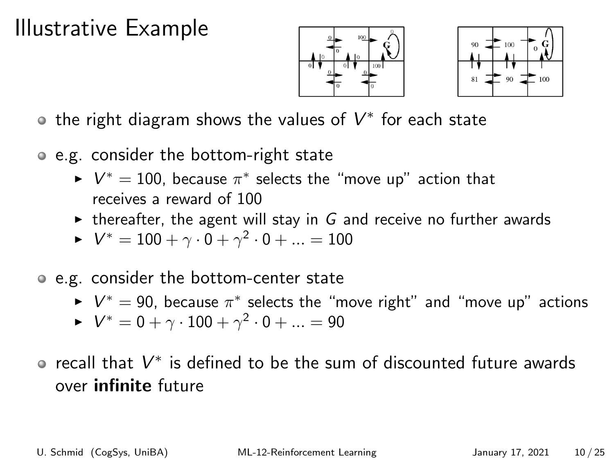## Illustrative Example





the right diagram shows the values of  $V^*$  for each state

- e.g. consider the bottom-right state
	- $\blacktriangleright \; V^* = 100$ , because  $\pi^*$  selects the "move up" action that receives a reward of 100
	- $\triangleright$  thereafter, the agent will stay in G and receive no further awards
	- $\blacktriangleright$   $V^{*} = 100 + \gamma \cdot 0 + \gamma^{2} \cdot 0 + ... = 100$
- e.g. consider the bottom-center state
	- $\blacktriangleright \; V^* = 90$ , because  $\pi^*$  selects the "move right" and "move up" actions
	- $\blacktriangleright$   $V^* = 0 + \gamma \cdot 100 + \gamma^2 \cdot 0 + ... = 90$
- recall that  $V^*$  is defined to be the sum of discounted future awards over infinite future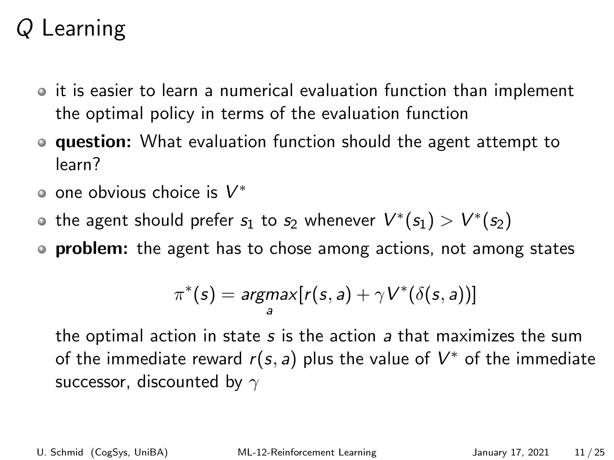- $\circ$  it is easier to learn a numerical evaluation function than implement the optimal policy in terms of the evaluation function
- **question:** What evaluation function should the agent attempt to learn?
- one obvious choice is  $V^*$
- the agent should prefer  $s_1$  to  $s_2$  whenever  $V^*(s_1) > V^*(s_2)$
- **problem:** the agent has to chose among actions, not among states

$$
\pi^*(s) = \underset{a}{\text{argmax}} [r(s, a) + \gamma V^*(\delta(s, a))]
$$

the optimal action in state s is the action a that maximizes the sum of the immediate reward  $r(s, a)$  plus the value of  $V^*$  of the immediate successor, discounted by  $\gamma$ 

U. Schmid (CogSys, UniBA) [ML-12-Reinforcement Learning](#page-0-0) January 17, 2021 11/25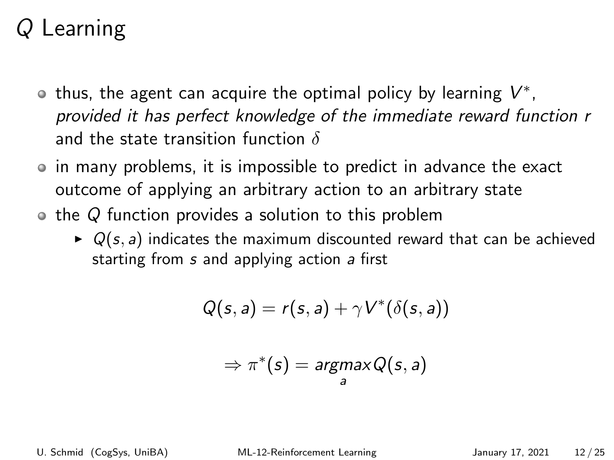- thus, the agent can acquire the optimal policy by learning  $V^{\ast},$ provided it has perfect knowledge of the immediate reward function r and the state transition function  $\delta$
- in many problems, it is impossible to predict in advance the exact outcome of applying an arbitrary action to an arbitrary state
- $\bullet$  the Q function provides a solution to this problem
	- $\triangleright$  Q(s, a) indicates the maximum discounted reward that can be achieved starting from s and applying action a first

$$
Q(s,a) = r(s,a) + \gamma V^*(\delta(s,a))
$$

$$
\Rightarrow \pi^*(s) = \underset{a}{argmax} Q(s, a)
$$

U. Schmid (CogSys, UniBA) [ML-12-Reinforcement Learning](#page-0-0) January 17, 2021 12 / 25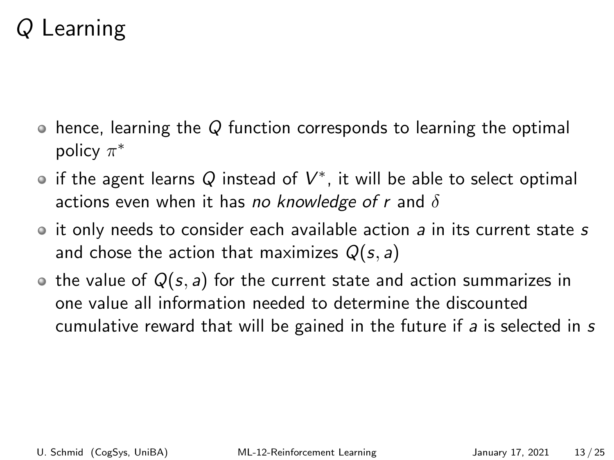- $\bullet$  hence, learning the Q function corresponds to learning the optimal policy  $\pi^*$
- if the agent learns  $\overline{Q}$  instead of  $V^*$ , it will be able to select optimal actions even when it has no knowledge of r and  $\delta$
- $\bullet$  it only needs to consider each available action a in its current state s and chose the action that maximizes  $Q(s, a)$
- $\bullet$  the value of  $Q(s, a)$  for the current state and action summarizes in one value all information needed to determine the discounted cumulative reward that will be gained in the future if a is selected in s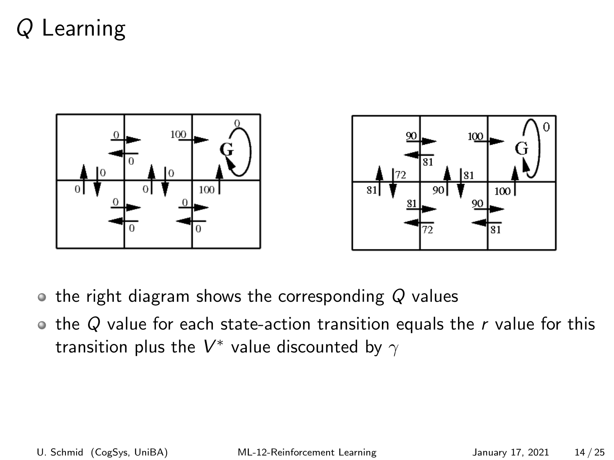

- $\bullet$  the right diagram shows the corresponding Q values
- $\bullet$  the Q value for each state-action transition equals the r value for this transition plus the  $V^*$  value discounted by  $\gamma$

U. Schmid (CogSys, UniBA) [ML-12-Reinforcement Learning](#page-0-0) January 17, 2021 14 / 25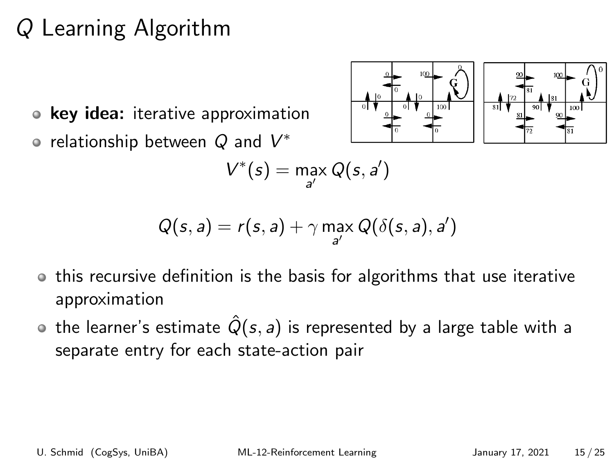# Q Learning Algorithm

key idea: iterative approximation  $\bullet$ relationship between  $Q$  and  $V^*$ 



$$
V^*(s) = \max_{a'} Q(s, a')
$$

$$
Q(s, a) = r(s, a) + \gamma \max_{a'} Q(\delta(s, a), a')
$$

- this recursive definition is the basis for algorithms that use iterative approximation
- the learner's estimate  $\hat{Q}(s, a)$  is represented by a large table with a separate entry for each state-action pair

U. Schmid (CogSys, UniBA) [ML-12-Reinforcement Learning](#page-0-0) January 17, 2021 15 / 25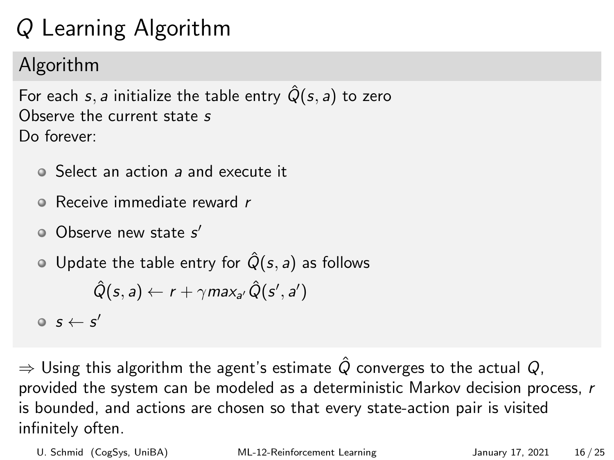# Q Learning Algorithm

### Algorithm

For each s, a initialize the table entry  $\hat{Q}(s, a)$  to zero Observe the current state s Do forever:

- Select an action a and execute it
- Receive immediate reward r
- Observe new state s'
- $\circ$  Update the table entry for  $\hat{Q}(s, a)$  as follows

$$
\hat{Q}(s, a) \leftarrow r + \gamma max_{a'} \hat{Q}(s', a')
$$

 $\mathsf{s}\leftarrow\mathsf{s}'$ 

 $\Rightarrow$  Using this algorithm the agent's estimate  $\hat{Q}$  converges to the actual  $Q$ , provided the system can be modeled as a deterministic Markov decision process, r is bounded, and actions are chosen so that every state-action pair is visited infinitely often.

U. Schmid (CogSys, UniBA) [ML-12-Reinforcement Learning](#page-0-0) January 17, 2021 16 / 25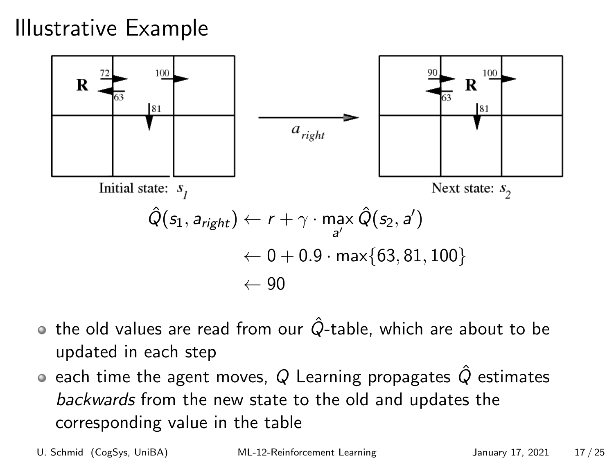## Illustrative Example



- $\bullet$  the old values are read from our  $\hat{Q}$ -table, which are about to be updated in each step
- $\bullet$  each time the agent moves,  $Q$  Learning propagates  $\hat{Q}$  estimates backwards from the new state to the old and updates the corresponding value in the table

U. Schmid (CogSys, UniBA) [ML-12-Reinforcement Learning](#page-0-0) January 17, 2021 17/25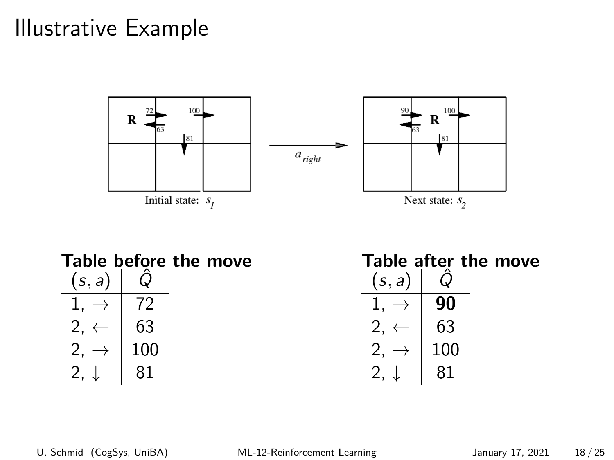### Illustrative Example



| Table before the move                                                                                                    |  |  | Table after the move                                                            |  |  |
|--------------------------------------------------------------------------------------------------------------------------|--|--|---------------------------------------------------------------------------------|--|--|
| $(s, a)   \hat{Q}$                                                                                                       |  |  | (s, a)                                                                          |  |  |
| $\begin{array}{c c} 1, \rightarrow & 72 \\ 2, \leftarrow & 63 \\ 2, \rightarrow & 100 \\ 2, \downarrow & 81 \end{array}$ |  |  | $1, \rightarrow$   90                                                           |  |  |
|                                                                                                                          |  |  | $\begin{array}{c c} 2, & \leftarrow & 63 \\ 2, & \rightarrow & 100 \end{array}$ |  |  |
|                                                                                                                          |  |  |                                                                                 |  |  |
|                                                                                                                          |  |  |                                                                                 |  |  |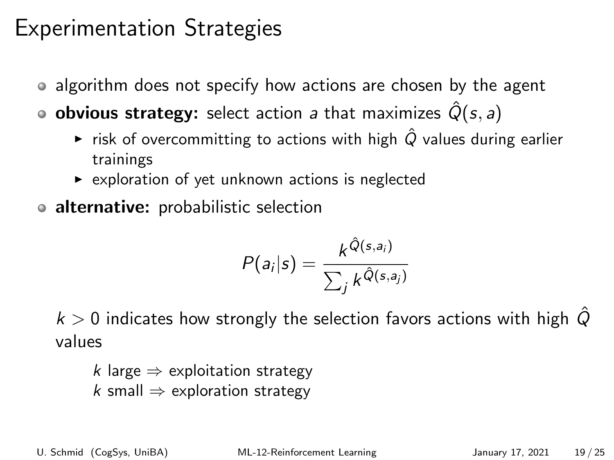## Experimentation Strategies

- algorithm does not specify how actions are chosen by the agent
- **o obvious strategy:** select action a that maximizes  $\hat{Q}(s, a)$ 
	- ► risk of overcommitting to actions with high  $\hat{Q}$  values during earlier trainings
	- $\triangleright$  exploration of yet unknown actions is neglected
- alternative: probabilistic selection

$$
P(a_i|s) = \frac{k^{\hat{Q}(s,a_i)}}{\sum_j k^{\hat{Q}(s,a_j)}}
$$

 $k > 0$  indicates how strongly the selection favors actions with high  $\tilde{Q}$ values

k large  $\Rightarrow$  exploitation strategy k small  $\Rightarrow$  exploration strategy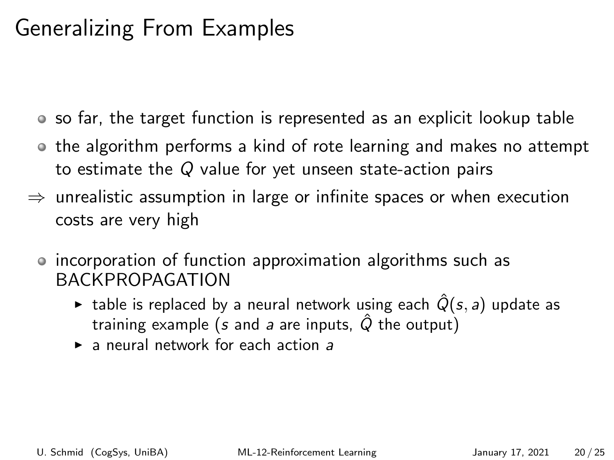## Generalizing From Examples

- so far, the target function is represented as an explicit lookup table
- the algorithm performs a kind of rote learning and makes no attempt to estimate the Q value for yet unseen state-action pairs
- $\Rightarrow$  unrealistic assumption in large or infinite spaces or when execution costs are very high
	- incorporation of function approximation algorithms such as BACKPROPAGATION
		- **Example is replaced by a neural network using each**  $\hat{Q}(s, a)$  **update as** training example (s and a are inputs,  $\hat{Q}$  the output)
		- $\blacktriangleright$  a neural network for each action a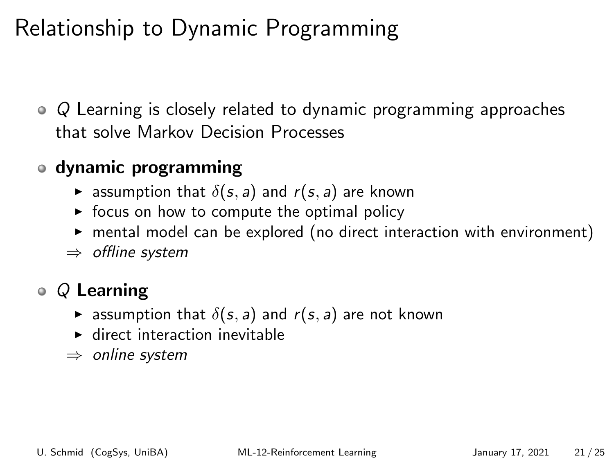## Relationship to Dynamic Programming

• Q Learning is closely related to dynamic programming approaches that solve Markov Decision Processes

#### dynamic programming

- **E** assumption that  $\delta(s, a)$  and  $r(s, a)$  are known
- $\triangleright$  focus on how to compute the optimal policy
- $\triangleright$  mental model can be explored (no direct interaction with environment)
- ⇒ offline system

### $\bullet$  Q Learning

- **E** assumption that  $\delta(s, a)$  and  $r(s, a)$  are not known
- $\blacktriangleright$  direct interaction inevitable
- $\Rightarrow$  online system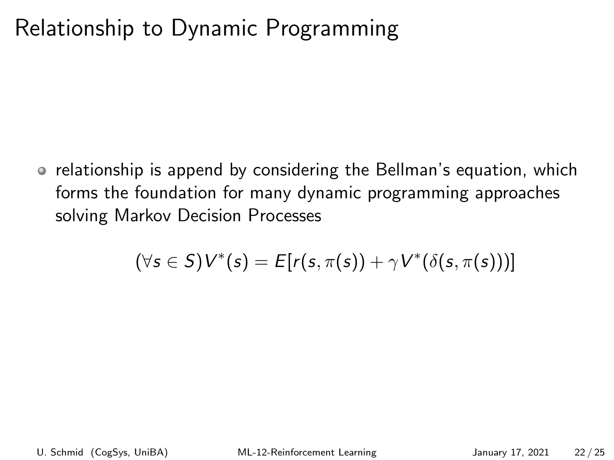## Relationship to Dynamic Programming

• relationship is append by considering the Bellman's equation, which forms the foundation for many dynamic programming approaches solving Markov Decision Processes

$$
(\forall s \in S) V^*(s) = E[r(s, \pi(s)) + \gamma V^*(\delta(s, \pi(s)))]
$$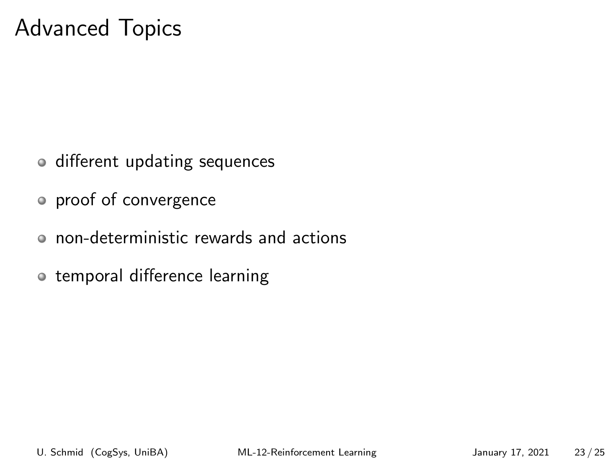## Advanced Topics

- o different updating sequences
- proof of convergence
- non-deterministic rewards and actions
- o temporal difference learning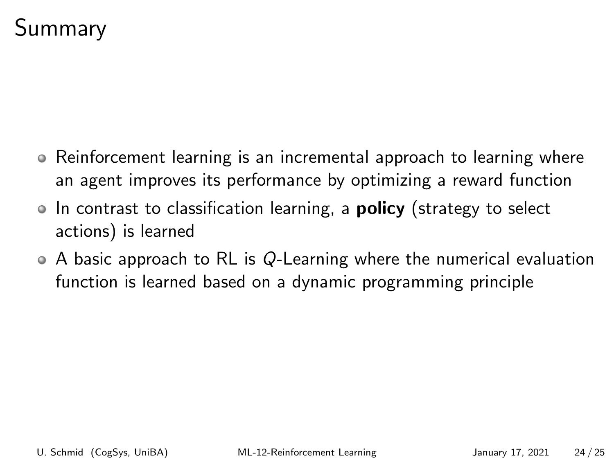## Summary

- Reinforcement learning is an incremental approach to learning where an agent improves its performance by optimizing a reward function
- In contrast to classification learning, a **policy** (strategy to select actions) is learned
- $\bullet$  A basic approach to RL is Q-Learning where the numerical evaluation function is learned based on a dynamic programming principle